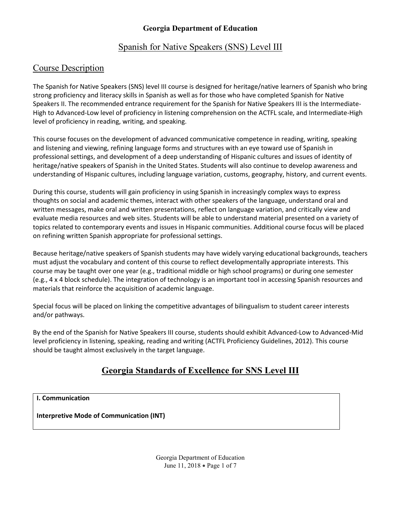#### Spanish for Native Speakers (SNS) Level III

#### Course Description

The Spanish for Native Speakers (SNS) level III course is designed for heritage/native learners of Spanish who bring strong proficiency and literacy skills in Spanish as well as for those who have completed Spanish for Native Speakers II. The recommended entrance requirement for the Spanish for Native Speakers III is the Intermediate-High to Advanced-Low level of proficiency in listening comprehension on the ACTFL scale, and Intermediate-High level of proficiency in reading, writing, and speaking.

This course focuses on the development of advanced communicative competence in reading, writing, speaking and listening and viewing, refining language forms and structures with an eye toward use of Spanish in professional settings, and development of a deep understanding of Hispanic cultures and issues of identity of heritage/native speakers of Spanish in the United States. Students will also continue to develop awareness and understanding of Hispanic cultures, including language variation, customs, geography, history, and current events.

During this course, students will gain proficiency in using Spanish in increasingly complex ways to express thoughts on social and academic themes, interact with other speakers of the language, understand oral and written messages, make oral and written presentations, reflect on language variation, and critically view and evaluate media resources and web sites. Students will be able to understand material presented on a variety of topics related to contemporary events and issues in Hispanic communities. Additional course focus will be placed on refining written Spanish appropriate for professional settings.

Because heritage/native speakers of Spanish students may have widely varying educational backgrounds, teachers must adjust the vocabulary and content of this course to reflect developmentally appropriate interests. This course may be taught over one year (e.g., traditional middle or high school programs) or during one semester (e.g., 4 x 4 block schedule). The integration of technology is an important tool in accessing Spanish resources and materials that reinforce the acquisition of academic language.

Special focus will be placed on linking the competitive advantages of bilingualism to student career interests and/or pathways.

By the end of the Spanish for Native Speakers III course, students should exhibit Advanced-Low to Advanced-Mid level proficiency in listening, speaking, reading and writing (ACTFL Proficiency Guidelines, 2012). This course should be taught almost exclusively in the target language.

#### **Georgia Standards of Excellence for SNS Level III**

**I. Communication**

**Interpretive Mode of Communication (INT)**

Georgia Department of Education June 11, 2018 • Page 1 of 7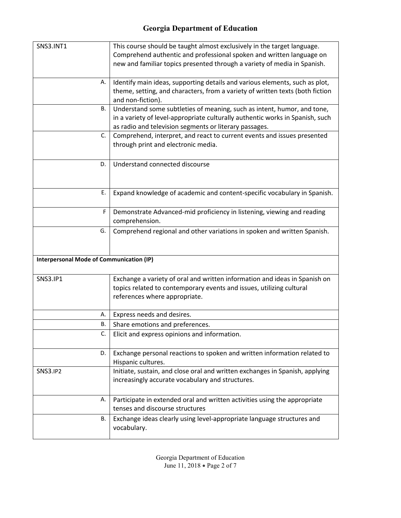| <b>SNS3.INT1</b>                                | This course should be taught almost exclusively in the target language.<br>Comprehend authentic and professional spoken and written language on<br>new and familiar topics presented through a variety of media in Spanish. |
|-------------------------------------------------|-----------------------------------------------------------------------------------------------------------------------------------------------------------------------------------------------------------------------------|
| А.                                              | Identify main ideas, supporting details and various elements, such as plot,<br>theme, setting, and characters, from a variety of written texts (both fiction<br>and non-fiction).                                           |
| В.                                              | Understand some subtleties of meaning, such as intent, humor, and tone,<br>in a variety of level-appropriate culturally authentic works in Spanish, such<br>as radio and television segments or literary passages.          |
| $C_{\cdot}$                                     | Comprehend, interpret, and react to current events and issues presented<br>through print and electronic media.                                                                                                              |
| D.                                              | Understand connected discourse                                                                                                                                                                                              |
| Е.                                              | Expand knowledge of academic and content-specific vocabulary in Spanish.                                                                                                                                                    |
| F                                               | Demonstrate Advanced-mid proficiency in listening, viewing and reading<br>comprehension.                                                                                                                                    |
| G.                                              | Comprehend regional and other variations in spoken and written Spanish.                                                                                                                                                     |
| <b>Interpersonal Mode of Communication (IP)</b> |                                                                                                                                                                                                                             |
| <b>SNS3.IP1</b>                                 | Exchange a variety of oral and written information and ideas in Spanish on<br>topics related to contemporary events and issues, utilizing cultural<br>references where appropriate.                                         |
| А.                                              | Express needs and desires.                                                                                                                                                                                                  |
| В.                                              | Share emotions and preferences.                                                                                                                                                                                             |
| C.                                              | Elicit and express opinions and information.                                                                                                                                                                                |
| D.                                              | Exchange personal reactions to spoken and written information related to<br>Hispanic cultures.                                                                                                                              |
| <b>SNS3.IP2</b>                                 | Initiate, sustain, and close oral and written exchanges in Spanish, applying<br>increasingly accurate vocabulary and structures.                                                                                            |
| Α.                                              | Participate in extended oral and written activities using the appropriate<br>tenses and discourse structures                                                                                                                |
| В.                                              | Exchange ideas clearly using level-appropriate language structures and<br>vocabulary.                                                                                                                                       |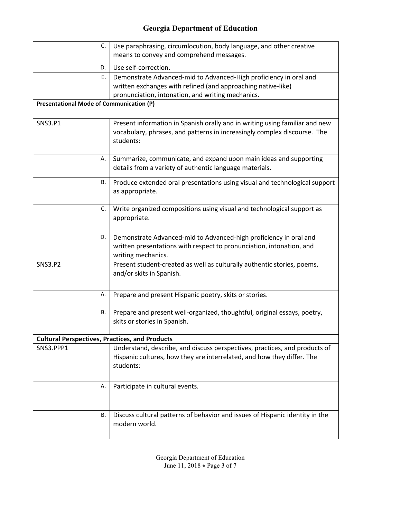| C.                                                    | Use paraphrasing, circumlocution, body language, and other creative<br>means to convey and comprehend messages.                                                                        |
|-------------------------------------------------------|----------------------------------------------------------------------------------------------------------------------------------------------------------------------------------------|
| D.                                                    | Use self-correction.                                                                                                                                                                   |
| Е.                                                    | Demonstrate Advanced-mid to Advanced-High proficiency in oral and<br>written exchanges with refined (and approaching native-like)<br>pronunciation, intonation, and writing mechanics. |
| <b>Presentational Mode of Communication (P)</b>       |                                                                                                                                                                                        |
| <b>SNS3.P1</b>                                        | Present information in Spanish orally and in writing using familiar and new<br>vocabulary, phrases, and patterns in increasingly complex discourse. The<br>students:                   |
| А.                                                    | Summarize, communicate, and expand upon main ideas and supporting<br>details from a variety of authentic language materials.                                                           |
| В.                                                    | Produce extended oral presentations using visual and technological support<br>as appropriate.                                                                                          |
| C.                                                    | Write organized compositions using visual and technological support as<br>appropriate.                                                                                                 |
| D.                                                    | Demonstrate Advanced-mid to Advanced-high proficiency in oral and<br>written presentations with respect to pronunciation, intonation, and<br>writing mechanics.                        |
| <b>SNS3.P2</b>                                        | Present student-created as well as culturally authentic stories, poems,<br>and/or skits in Spanish.                                                                                    |
| Α.                                                    | Prepare and present Hispanic poetry, skits or stories.                                                                                                                                 |
| В.                                                    | Prepare and present well-organized, thoughtful, original essays, poetry,<br>skits or stories in Spanish.                                                                               |
| <b>Cultural Perspectives, Practices, and Products</b> |                                                                                                                                                                                        |
| SNS3.PPP1                                             | Understand, describe, and discuss perspectives, practices, and products of<br>Hispanic cultures, how they are interrelated, and how they differ. The<br>students:                      |
| А.                                                    | Participate in cultural events.                                                                                                                                                        |
| В.                                                    | Discuss cultural patterns of behavior and issues of Hispanic identity in the<br>modern world.                                                                                          |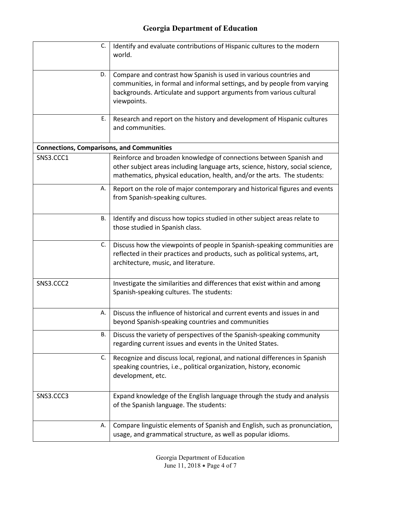| C.                                               | Identify and evaluate contributions of Hispanic cultures to the modern<br>world.                                                                                                                                                    |
|--------------------------------------------------|-------------------------------------------------------------------------------------------------------------------------------------------------------------------------------------------------------------------------------------|
| D.                                               | Compare and contrast how Spanish is used in various countries and<br>communities, in formal and informal settings, and by people from varying<br>backgrounds. Articulate and support arguments from various cultural<br>viewpoints. |
| Е.                                               | Research and report on the history and development of Hispanic cultures<br>and communities.                                                                                                                                         |
| <b>Connections, Comparisons, and Communities</b> |                                                                                                                                                                                                                                     |
| SNS3.CCC1                                        | Reinforce and broaden knowledge of connections between Spanish and<br>other subject areas including language arts, science, history, social science,<br>mathematics, physical education, health, and/or the arts. The students:     |
| А.                                               | Report on the role of major contemporary and historical figures and events<br>from Spanish-speaking cultures.                                                                                                                       |
| В.                                               | Identify and discuss how topics studied in other subject areas relate to<br>those studied in Spanish class.                                                                                                                         |
| C.                                               | Discuss how the viewpoints of people in Spanish-speaking communities are<br>reflected in their practices and products, such as political systems, art,<br>architecture, music, and literature.                                      |
| SNS3.CCC2                                        | Investigate the similarities and differences that exist within and among<br>Spanish-speaking cultures. The students:                                                                                                                |
| А.                                               | Discuss the influence of historical and current events and issues in and<br>beyond Spanish-speaking countries and communities                                                                                                       |
| В.                                               | Discuss the variety of perspectives of the Spanish-speaking community<br>regarding current issues and events in the United States.                                                                                                  |
| C.                                               | Recognize and discuss local, regional, and national differences in Spanish<br>speaking countries, i.e., political organization, history, economic<br>development, etc.                                                              |
| SNS3.CCC3                                        | Expand knowledge of the English language through the study and analysis<br>of the Spanish language. The students:                                                                                                                   |
| А.                                               | Compare linguistic elements of Spanish and English, such as pronunciation,<br>usage, and grammatical structure, as well as popular idioms.                                                                                          |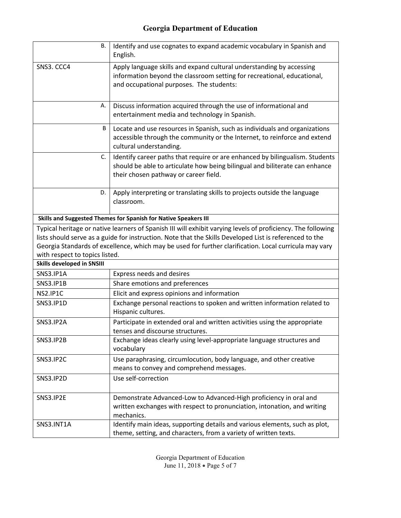| В.                                | Identify and use cognates to expand academic vocabulary in Spanish and<br>English.                                                                                                                   |
|-----------------------------------|------------------------------------------------------------------------------------------------------------------------------------------------------------------------------------------------------|
| SNS3. CCC4                        | Apply language skills and expand cultural understanding by accessing<br>information beyond the classroom setting for recreational, educational,<br>and occupational purposes. The students:          |
| А.                                | Discuss information acquired through the use of informational and<br>entertainment media and technology in Spanish.                                                                                  |
| B                                 | Locate and use resources in Spanish, such as individuals and organizations<br>accessible through the community or the Internet, to reinforce and extend<br>cultural understanding.                   |
| C.                                | Identify career paths that require or are enhanced by bilingualism. Students<br>should be able to articulate how being bilingual and biliterate can enhance<br>their chosen pathway or career field. |
| D.                                | Apply interpreting or translating skills to projects outside the language<br>classroom.                                                                                                              |
|                                   | Skills and Suggested Themes for Spanish for Native Speakers III                                                                                                                                      |
|                                   | Typical heritage or native learners of Spanish III will exhibit varying levels of proficiency. The following                                                                                         |
|                                   | lists should serve as a guide for instruction. Note that the Skills Developed List is referenced to the                                                                                              |
| with respect to topics listed.    | Georgia Standards of excellence, which may be used for further clarification. Local curricula may vary                                                                                               |
| <b>Skills developed in SNSIII</b> |                                                                                                                                                                                                      |
| SNS3.IP1A                         | Express needs and desires                                                                                                                                                                            |
| SNS3.IP1B                         | Share emotions and preferences                                                                                                                                                                       |
| NS2.IP1C                          | Elicit and express opinions and information                                                                                                                                                          |
| SNS3.IP1D                         | Exchange personal reactions to spoken and written information related to<br>Hispanic cultures.                                                                                                       |
| SNS3.IP2A                         | Participate in extended oral and written activities using the appropriate<br>tenses and discourse structures.                                                                                        |
| SNS3.IP2B                         | Exchange ideas clearly using level-appropriate language structures and<br>vocabulary                                                                                                                 |
| SNS3.IP2C                         | Use paraphrasing, circumlocution, body language, and other creative<br>means to convey and comprehend messages.                                                                                      |
| SNS3.IP2D                         | Use self-correction                                                                                                                                                                                  |
| SNS3.IP2E                         | Demonstrate Advanced-Low to Advanced-High proficiency in oral and<br>written exchanges with respect to pronunciation, intonation, and writing<br>mechanics.                                          |
| SNS3.INT1A                        | Identify main ideas, supporting details and various elements, such as plot,<br>theme, setting, and characters, from a variety of written texts.                                                      |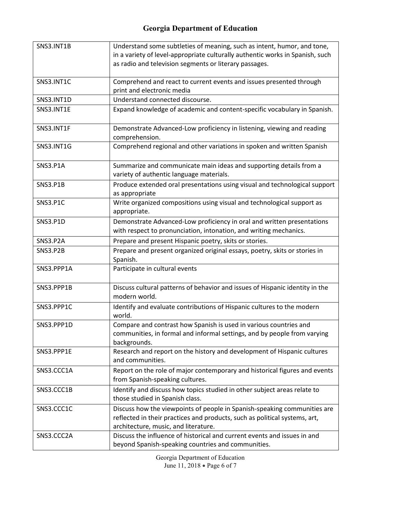| SNS3.INT1B        | Understand some subtleties of meaning, such as intent, humor, and tone,       |
|-------------------|-------------------------------------------------------------------------------|
|                   | in a variety of level-appropriate culturally authentic works in Spanish, such |
|                   | as radio and television segments or literary passages.                        |
|                   |                                                                               |
| SNS3.INT1C        | Comprehend and react to current events and issues presented through           |
|                   | print and electronic media                                                    |
| SNS3.INT1D        | Understand connected discourse.                                               |
| SNS3.INT1E        | Expand knowledge of academic and content-specific vocabulary in Spanish.      |
|                   |                                                                               |
| SNS3.INT1F        | Demonstrate Advanced-Low proficiency in listening, viewing and reading        |
|                   | comprehension.                                                                |
| <b>SNS3.INT1G</b> | Comprehend regional and other variations in spoken and written Spanish        |
|                   |                                                                               |
| <b>SNS3.P1A</b>   | Summarize and communicate main ideas and supporting details from a            |
|                   | variety of authentic language materials.                                      |
| <b>SNS3.P1B</b>   | Produce extended oral presentations using visual and technological support    |
|                   | as appropriate                                                                |
| <b>SNS3.P1C</b>   | Write organized compositions using visual and technological support as        |
|                   | appropriate.                                                                  |
| <b>SNS3.P1D</b>   | Demonstrate Advanced-Low proficiency in oral and written presentations        |
|                   | with respect to pronunciation, intonation, and writing mechanics.             |
| <b>SNS3.P2A</b>   | Prepare and present Hispanic poetry, skits or stories.                        |
| <b>SNS3.P2B</b>   | Prepare and present organized original essays, poetry, skits or stories in    |
|                   | Spanish.                                                                      |
| SNS3.PPP1A        | Participate in cultural events                                                |
|                   |                                                                               |
| SNS3.PPP1B        | Discuss cultural patterns of behavior and issues of Hispanic identity in the  |
|                   | modern world.                                                                 |
| SNS3.PPP1C        | Identify and evaluate contributions of Hispanic cultures to the modern        |
|                   | world.                                                                        |
| SNS3.PPP1D        | Compare and contrast how Spanish is used in various countries and             |
|                   | communities, in formal and informal settings, and by people from varying      |
|                   | backgrounds.                                                                  |
| SNS3.PPP1E        | Research and report on the history and development of Hispanic cultures       |
|                   | and communities.                                                              |
| SNS3.CCC1A        | Report on the role of major contemporary and historical figures and events    |
|                   | from Spanish-speaking cultures.                                               |
| SNS3.CCC1B        | Identify and discuss how topics studied in other subject areas relate to      |
|                   | those studied in Spanish class.                                               |
| SNS3.CCC1C        | Discuss how the viewpoints of people in Spanish-speaking communities are      |
|                   | reflected in their practices and products, such as political systems, art,    |
|                   | architecture, music, and literature.                                          |
| SNS3.CCC2A        | Discuss the influence of historical and current events and issues in and      |
|                   | beyond Spanish-speaking countries and communities.                            |

Georgia Department of Education June 11, 2018 • Page 6 of 7